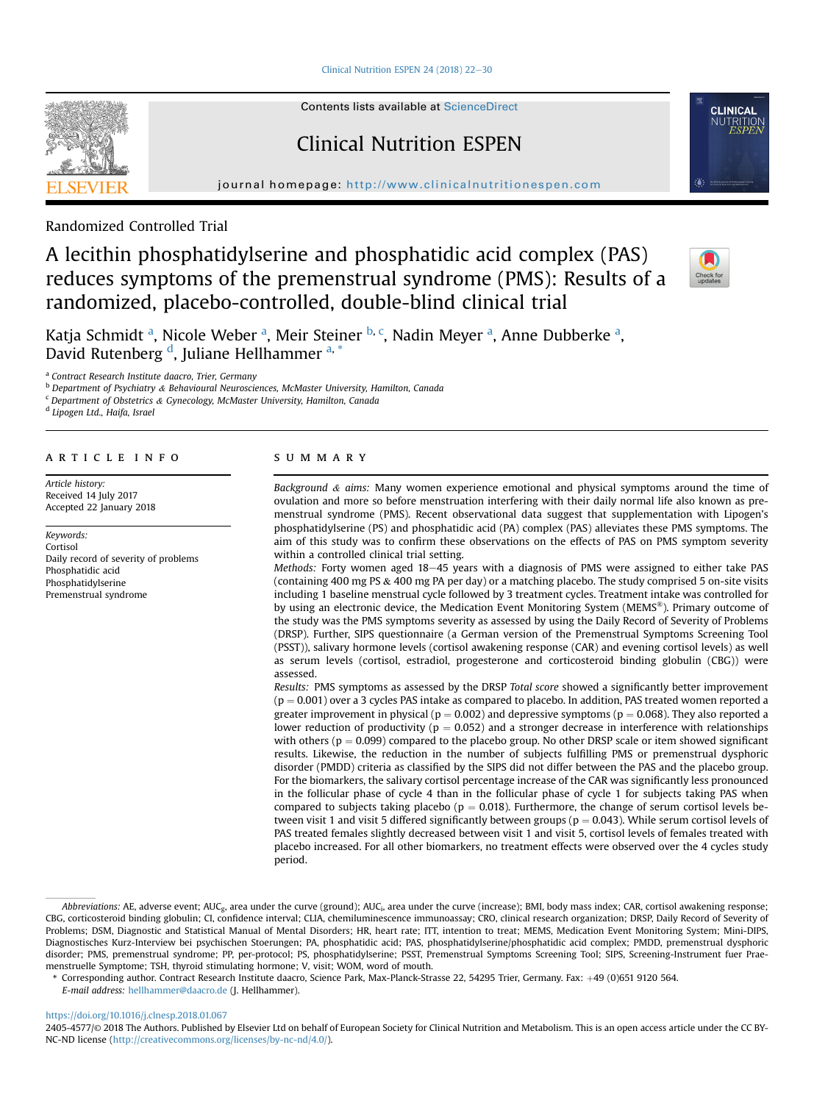Clinical Nutrition ESPEN 24 (2018)  $22-30$  $22-30$ 

Contents lists available at ScienceDirect

# Clinical Nutrition ESPEN

journal homepage: <http://www.clinicalnutritionespen.com>



Randomized Controlled Trial

# A lecithin phosphatidylserine and phosphatidic acid complex (PAS) reduces symptoms of the premenstrual syndrome (PMS): Results of a randomized, placebo-controlled, double-blind clinical trial



Katja Schmidt <sup>a</sup>, Nicole Weber <sup>a</sup>, Meir Steiner <sup>b, c</sup>, Nadin Meyer <sup>a</sup>, Anne Dubberke <sup>a</sup>, David Rutenberg <sup>d</sup>, Juliane Hellhammer <sup>a, \*</sup>

<sup>a</sup> Contract Research Institute daacro, Trier, Germany

<sup>b</sup> Department of Psychiatry & Behavioural Neurosciences, McMaster University, Hamilton, Canada

 $c$  Department of Obstetrics & Gynecology, McMaster University, Hamilton, Canada

<sup>d</sup> Lipogen Ltd., Haifa, Israel

# article info

Article history: Received 14 July 2017 Accepted 22 January 2018

Keywords: Cortisol Daily record of severity of problems Phosphatidic acid Phosphatidylserine Premenstrual syndrome

# SUMMARY

Background  $\&$  aims: Many women experience emotional and physical symptoms around the time of ovulation and more so before menstruation interfering with their daily normal life also known as premenstrual syndrome (PMS). Recent observational data suggest that supplementation with Lipogen's phosphatidylserine (PS) and phosphatidic acid (PA) complex (PAS) alleviates these PMS symptoms. The aim of this study was to confirm these observations on the effects of PAS on PMS symptom severity within a controlled clinical trial setting.

Methods: Forty women aged 18-45 years with a diagnosis of PMS were assigned to either take PAS (containing 400 mg PS & 400 mg PA per day) or a matching placebo. The study comprised 5 on-site visits including 1 baseline menstrual cycle followed by 3 treatment cycles. Treatment intake was controlled for by using an electronic device, the Medication Event Monitoring System (MEMS®). Primary outcome of the study was the PMS symptoms severity as assessed by using the Daily Record of Severity of Problems (DRSP). Further, SIPS questionnaire (a German version of the Premenstrual Symptoms Screening Tool (PSST)), salivary hormone levels (cortisol awakening response (CAR) and evening cortisol levels) as well as serum levels (cortisol, estradiol, progesterone and corticosteroid binding globulin (CBG)) were assessed.

Results: PMS symptoms as assessed by the DRSP Total score showed a significantly better improvement  $(p = 0.001)$  over a 3 cycles PAS intake as compared to placebo. In addition, PAS treated women reported a greater improvement in physical ( $p = 0.002$ ) and depressive symptoms ( $p = 0.068$ ). They also reported a lower reduction of productivity ( $p = 0.052$ ) and a stronger decrease in interference with relationships with others ( $p = 0.099$ ) compared to the placebo group. No other DRSP scale or item showed significant results. Likewise, the reduction in the number of subjects fulfilling PMS or premenstrual dysphoric disorder (PMDD) criteria as classified by the SIPS did not differ between the PAS and the placebo group. For the biomarkers, the salivary cortisol percentage increase of the CAR was significantly less pronounced in the follicular phase of cycle 4 than in the follicular phase of cycle 1 for subjects taking PAS when compared to subjects taking placebo ( $p = 0.018$ ). Furthermore, the change of serum cortisol levels between visit 1 and visit 5 differed significantly between groups ( $p = 0.043$ ). While serum cortisol levels of PAS treated females slightly decreased between visit 1 and visit 5, cortisol levels of females treated with placebo increased. For all other biomarkers, no treatment effects were observed over the 4 cycles study period.

<https://doi.org/10.1016/j.clnesp.2018.01.067>

Abbreviations: AE, adverse event; AUC<sub>g</sub>, area under the curve (ground); AUC<sub>i</sub>, area under the curve (increase); BMI, body mass index; CAR, cortisol awakening response; CBG, corticosteroid binding globulin; CI, confidence interval; CLIA, chemiluminescence immunoassay; CRO, clinical research organization; DRSP, Daily Record of Severity of Problems; DSM, Diagnostic and Statistical Manual of Mental Disorders; HR, heart rate; ITT, intention to treat; MEMS, Medication Event Monitoring System; Mini-DIPS, Diagnostisches Kurz-Interview bei psychischen Stoerungen; PA, phosphatidic acid; PAS, phosphatidylserine/phosphatidic acid complex; PMDD, premenstrual dysphoric disorder; PMS, premenstrual syndrome; PP, per-protocol; PS, phosphatidylserine; PSST, Premenstrual Symptoms Screening Tool; SIPS, Screening-Instrument fuer Praemenstruelle Symptome; TSH, thyroid stimulating hormone; V, visit; WOM, word of mouth.

<sup>\*</sup> Corresponding author. Contract Research Institute daacro, Science Park, Max-Planck-Strasse 22, 54295 Trier, Germany. Fax: þ49 (0)651 9120 564. E-mail address: [hellhammer@daacro.de](mailto:hellhammer@daacro.de) (J. Hellhammer).

<sup>2405-4577/</sup>© 2018 The Authors. Published by Elsevier Ltd on behalf of European Society for Clinical Nutrition and Metabolism. This is an open access article under the CC BY-NC-ND license [\(http://creativecommons.org/licenses/by-nc-nd/4.0/\)](http://creativecommons.org/licenses/by-nc-nd/4.0/).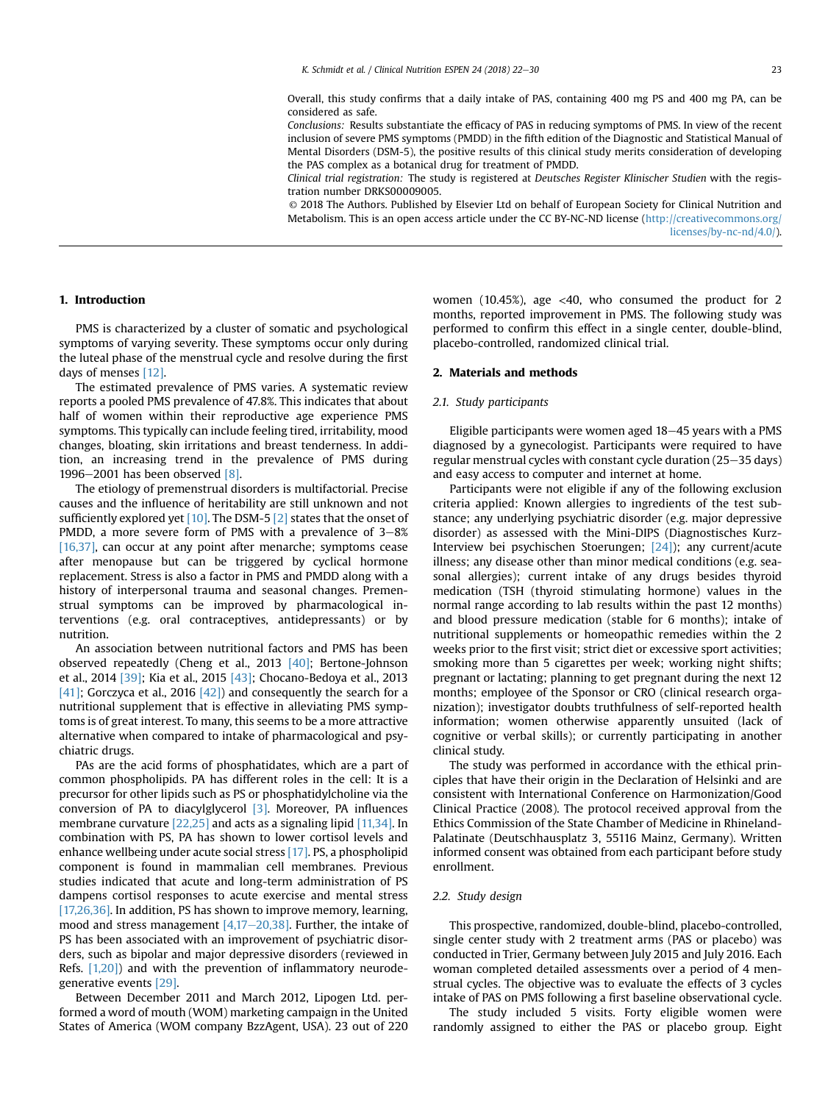Overall, this study confirms that a daily intake of PAS, containing 400 mg PS and 400 mg PA, can be considered as safe.

Conclusions: Results substantiate the efficacy of PAS in reducing symptoms of PMS. In view of the recent inclusion of severe PMS symptoms (PMDD) in the fifth edition of the Diagnostic and Statistical Manual of Mental Disorders (DSM-5), the positive results of this clinical study merits consideration of developing the PAS complex as a botanical drug for treatment of PMDD.

Clinical trial registration: The study is registered at Deutsches Register Klinischer Studien with the registration number DRKS00009005.

© 2018 The Authors. Published by Elsevier Ltd on behalf of European Society for Clinical Nutrition and Metabolism. This is an open access article under the CC BY-NC-ND license ([http://creativecommons.org/](http://creativecommons.org/licenses/by-nc-nd/4.0/) [licenses/by-nc-nd/4.0/](http://creativecommons.org/licenses/by-nc-nd/4.0/)).

# 1. Introduction

PMS is characterized by a cluster of somatic and psychological symptoms of varying severity. These symptoms occur only during the luteal phase of the menstrual cycle and resolve during the first days of menses [\[12\].](#page-7-0)

The estimated prevalence of PMS varies. A systematic review reports a pooled PMS prevalence of 47.8%. This indicates that about half of women within their reproductive age experience PMS symptoms. This typically can include feeling tired, irritability, mood changes, bloating, skin irritations and breast tenderness. In addition, an increasing trend in the prevalence of PMS during 1996 $-2001$  has been observed [\[8\]](#page-7-0).

The etiology of premenstrual disorders is multifactorial. Precise causes and the influence of heritability are still unknown and not sufficiently explored yet  $[10]$ . The DSM-5  $[2]$  states that the onset of PMDD, a more severe form of PMS with a prevalence of  $3-8\%$ [\[16,37\]](#page-8-0), can occur at any point after menarche; symptoms cease after menopause but can be triggered by cyclical hormone replacement. Stress is also a factor in PMS and PMDD along with a history of interpersonal trauma and seasonal changes. Premenstrual symptoms can be improved by pharmacological interventions (e.g. oral contraceptives, antidepressants) or by nutrition.

An association between nutritional factors and PMS has been observed repeatedly (Cheng et al., 2013 [\[40\];](#page-8-0) Bertone-Johnson et al., 2014 [\[39\];](#page-8-0) Kia et al., 2015 [\[43\]](#page-8-0); Chocano-Bedoya et al., 2013 [\[41\]](#page-8-0); Gorczyca et al., 2016  $[42]$ ] and consequently the search for a nutritional supplement that is effective in alleviating PMS symptoms is of great interest. To many, this seems to be a more attractive alternative when compared to intake of pharmacological and psychiatric drugs.

PAs are the acid forms of phosphatidates, which are a part of common phospholipids. PA has different roles in the cell: It is a precursor for other lipids such as PS or phosphatidylcholine via the conversion of PA to diacylglycerol [\[3\]](#page-7-0). Moreover, PA influences membrane curvature [\[22,25\]](#page-8-0) and acts as a signaling lipid [\[11,34\]](#page-7-0). In combination with PS, PA has shown to lower cortisol levels and enhance wellbeing under acute social stress [\[17\].](#page-7-0) PS, a phospholipid component is found in mammalian cell membranes. Previous studies indicated that acute and long-term administration of PS dampens cortisol responses to acute exercise and mental stress [\[17,26,36\]](#page-8-0). In addition, PS has shown to improve memory, learning, mood and stress management  $[4,17-20,38]$  $[4,17-20,38]$  $[4,17-20,38]$ . Further, the intake of PS has been associated with an improvement of psychiatric disorders, such as bipolar and major depressive disorders (reviewed in Refs. [\[1,20\]](#page-7-0)) and with the prevention of inflammatory neurodegenerative events [\[29\]](#page-8-0).

Between December 2011 and March 2012, Lipogen Ltd. performed a word of mouth (WOM) marketing campaign in the United States of America (WOM company BzzAgent, USA). 23 out of 220 women (10.45%), age  $\langle 40,$  who consumed the product for 2 months, reported improvement in PMS. The following study was performed to confirm this effect in a single center, double-blind, placebo-controlled, randomized clinical trial.

# 2. Materials and methods

#### 2.1. Study participants

Eligible participants were women aged  $18-45$  years with a PMS diagnosed by a gynecologist. Participants were required to have regular menstrual cycles with constant cycle duration  $(25-35$  days) and easy access to computer and internet at home.

Participants were not eligible if any of the following exclusion criteria applied: Known allergies to ingredients of the test substance; any underlying psychiatric disorder (e.g. major depressive disorder) as assessed with the Mini-DIPS (Diagnostisches Kurz-Interview bei psychischen Stoerungen; [\[24\]\)](#page-8-0); any current/acute illness; any disease other than minor medical conditions (e.g. seasonal allergies); current intake of any drugs besides thyroid medication (TSH (thyroid stimulating hormone) values in the normal range according to lab results within the past 12 months) and blood pressure medication (stable for 6 months); intake of nutritional supplements or homeopathic remedies within the 2 weeks prior to the first visit; strict diet or excessive sport activities; smoking more than 5 cigarettes per week; working night shifts; pregnant or lactating; planning to get pregnant during the next 12 months; employee of the Sponsor or CRO (clinical research organization); investigator doubts truthfulness of self-reported health information; women otherwise apparently unsuited (lack of cognitive or verbal skills); or currently participating in another clinical study.

The study was performed in accordance with the ethical principles that have their origin in the Declaration of Helsinki and are consistent with International Conference on Harmonization/Good Clinical Practice (2008). The protocol received approval from the Ethics Commission of the State Chamber of Medicine in Rhineland-Palatinate (Deutschhausplatz 3, 55116 Mainz, Germany). Written informed consent was obtained from each participant before study enrollment.

## 2.2. Study design

This prospective, randomized, double-blind, placebo-controlled, single center study with 2 treatment arms (PAS or placebo) was conducted in Trier, Germany between July 2015 and July 2016. Each woman completed detailed assessments over a period of 4 menstrual cycles. The objective was to evaluate the effects of 3 cycles intake of PAS on PMS following a first baseline observational cycle.

The study included 5 visits. Forty eligible women were randomly assigned to either the PAS or placebo group. Eight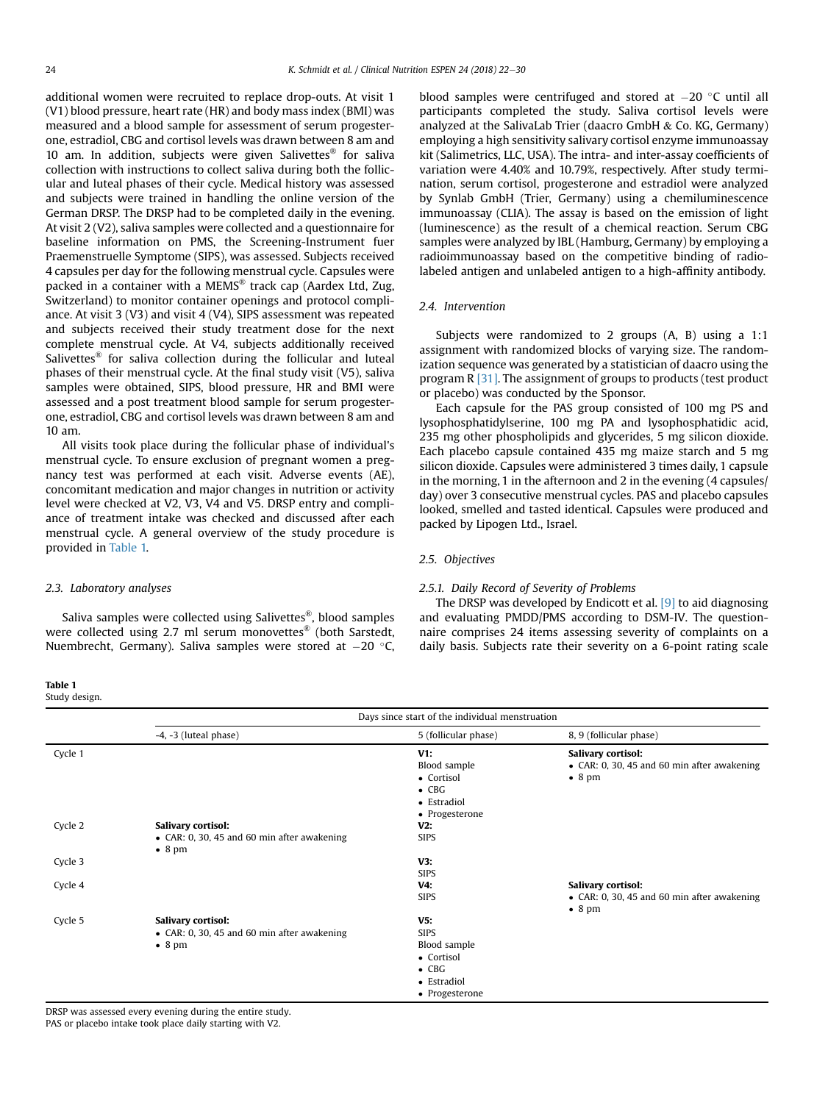additional women were recruited to replace drop-outs. At visit 1 (V1) blood pressure, heart rate (HR) and body mass index (BMI) was measured and a blood sample for assessment of serum progesterone, estradiol, CBG and cortisol levels was drawn between 8 am and 10 am. In addition, subjects were given Salivettes<sup>®</sup> for saliva collection with instructions to collect saliva during both the follicular and luteal phases of their cycle. Medical history was assessed and subjects were trained in handling the online version of the German DRSP. The DRSP had to be completed daily in the evening. At visit 2 (V2), saliva samples were collected and a questionnaire for baseline information on PMS, the Screening-Instrument fuer Praemenstruelle Symptome (SIPS), was assessed. Subjects received 4 capsules per day for the following menstrual cycle. Capsules were packed in a container with a MEMS® track cap (Aardex Ltd, Zug, Switzerland) to monitor container openings and protocol compliance. At visit 3 (V3) and visit 4 (V4), SIPS assessment was repeated and subjects received their study treatment dose for the next complete menstrual cycle. At V4, subjects additionally received Salivettes® for saliva collection during the follicular and luteal phases of their menstrual cycle. At the final study visit (V5), saliva samples were obtained, SIPS, blood pressure, HR and BMI were assessed and a post treatment blood sample for serum progesterone, estradiol, CBG and cortisol levels was drawn between 8 am and 10 am.

All visits took place during the follicular phase of individual's menstrual cycle. To ensure exclusion of pregnant women a pregnancy test was performed at each visit. Adverse events (AE), concomitant medication and major changes in nutrition or activity level were checked at V2, V3, V4 and V5. DRSP entry and compliance of treatment intake was checked and discussed after each menstrual cycle. A general overview of the study procedure is provided in Table 1.

2.3. Laboratory analyses

Saliva samples were collected using Salivettes®, blood samples were collected using 2.7 ml serum monovettes® (both Sarstedt, Nuembrecht, Germany). Saliva samples were stored at  $-20$  °C,

blood samples were centrifuged and stored at  $-20$  °C until all participants completed the study. Saliva cortisol levels were analyzed at the SalivaLab Trier (daacro GmbH  $\&$  Co. KG, Germany) employing a high sensitivity salivary cortisol enzyme immunoassay kit (Salimetrics, LLC, USA). The intra- and inter-assay coefficients of variation were 4.40% and 10.79%, respectively. After study termination, serum cortisol, progesterone and estradiol were analyzed by Synlab GmbH (Trier, Germany) using a chemiluminescence immunoassay (CLIA). The assay is based on the emission of light (luminescence) as the result of a chemical reaction. Serum CBG samples were analyzed by IBL (Hamburg, Germany) by employing a radioimmunoassay based on the competitive binding of radiolabeled antigen and unlabeled antigen to a high-affinity antibody.

# 2.4. Intervention

Subjects were randomized to 2 groups (A, B) using a 1:1 assignment with randomized blocks of varying size. The randomization sequence was generated by a statistician of daacro using the program R [\[31\]](#page-8-0). The assignment of groups to products (test product or placebo) was conducted by the Sponsor.

Each capsule for the PAS group consisted of 100 mg PS and lysophosphatidylserine, 100 mg PA and lysophosphatidic acid, 235 mg other phospholipids and glycerides, 5 mg silicon dioxide. Each placebo capsule contained 435 mg maize starch and 5 mg silicon dioxide. Capsules were administered 3 times daily, 1 capsule in the morning, 1 in the afternoon and 2 in the evening (4 capsules/ day) over 3 consecutive menstrual cycles. PAS and placebo capsules looked, smelled and tasted identical. Capsules were produced and packed by Lipogen Ltd., Israel.

# 2.5. Objectives

#### 2.5.1. Daily Record of Severity of Problems

The DRSP was developed by Endicott et al. [\[9\]](#page-7-0) to aid diagnosing and evaluating PMDD/PMS according to DSM-IV. The questionnaire comprises 24 items assessing severity of complaints on a daily basis. Subjects rate their severity on a 6-point rating scale

Study design.

|         | Days since start of the individual menstruation                                             |                                                                                                    |                                                                                                    |
|---------|---------------------------------------------------------------------------------------------|----------------------------------------------------------------------------------------------------|----------------------------------------------------------------------------------------------------|
|         | $-4$ , $-3$ (luteal phase)                                                                  | 5 (follicular phase)                                                                               | 8, 9 (follicular phase)                                                                            |
| Cycle 1 |                                                                                             | V1:<br>Blood sample<br>• Cortisol<br>$\bullet$ CBG<br>• Estradiol<br>• Progesterone                | <b>Salivary cortisol:</b><br>$\bullet$ CAR: 0, 30, 45 and 60 min after awakening<br>$\bullet$ 8 pm |
| Cycle 2 | Salivary cortisol:<br>$\bullet$ CAR: 0, 30, 45 and 60 min after awakening<br>$\bullet$ 8 pm | V2:<br><b>SIPS</b>                                                                                 |                                                                                                    |
| Cycle 3 |                                                                                             | V3:<br><b>SIPS</b>                                                                                 |                                                                                                    |
| Cycle 4 |                                                                                             | V4:<br><b>SIPS</b>                                                                                 | Salivary cortisol:<br>$\bullet$ CAR: 0, 30, 45 and 60 min after awakening<br>$\bullet$ 8 pm        |
| Cycle 5 | Salivary cortisol:<br>$\bullet$ CAR: 0, 30, 45 and 60 min after awakening<br>$\bullet$ 8 pm | V5:<br><b>SIPS</b><br>Blood sample<br>• Cortisol<br>$\bullet$ CBG<br>• Estradiol<br>• Progesterone |                                                                                                    |

DRSP was assessed every evening during the entire study. PAS or placebo intake took place daily starting with V2.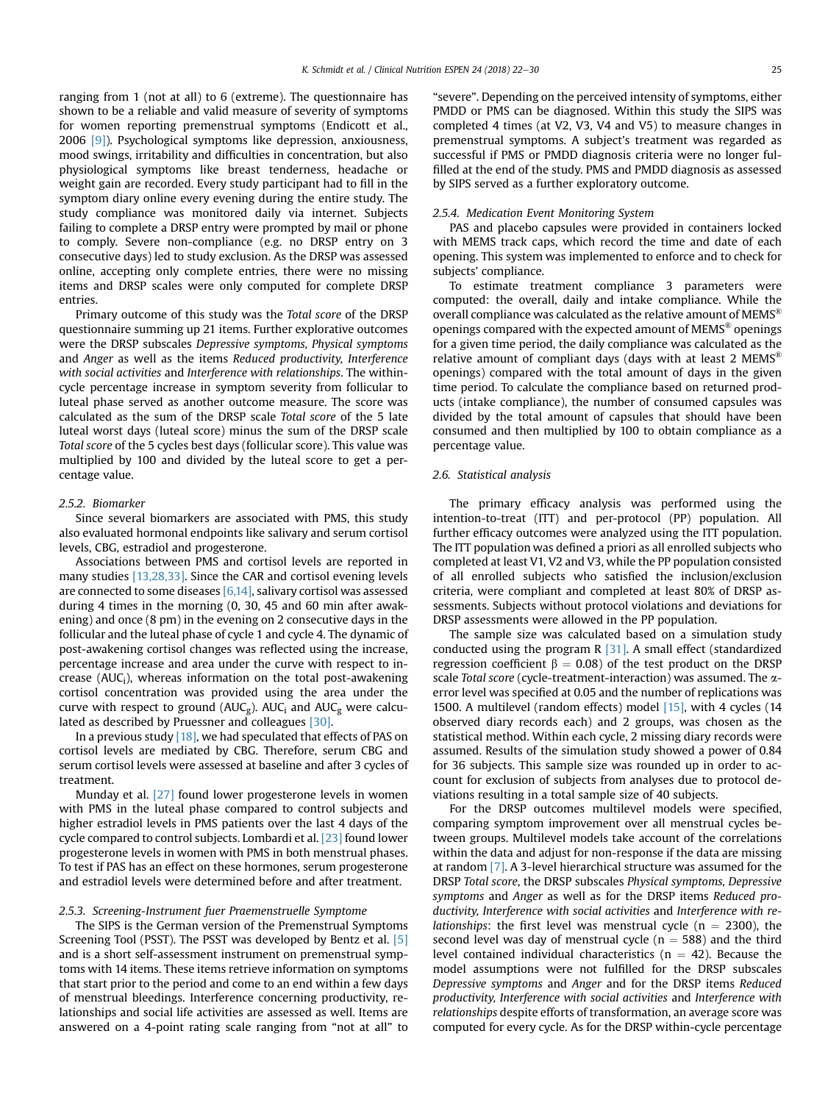ranging from 1 (not at all) to 6 (extreme). The questionnaire has shown to be a reliable and valid measure of severity of symptoms for women reporting premenstrual symptoms (Endicott et al., 2006 [\[9\]](#page-7-0)). Psychological symptoms like depression, anxiousness, mood swings, irritability and difficulties in concentration, but also physiological symptoms like breast tenderness, headache or weight gain are recorded. Every study participant had to fill in the symptom diary online every evening during the entire study. The study compliance was monitored daily via internet. Subjects failing to complete a DRSP entry were prompted by mail or phone to comply. Severe non-compliance (e.g. no DRSP entry on 3 consecutive days) led to study exclusion. As the DRSP was assessed online, accepting only complete entries, there were no missing items and DRSP scales were only computed for complete DRSP entries.

Primary outcome of this study was the Total score of the DRSP questionnaire summing up 21 items. Further explorative outcomes were the DRSP subscales Depressive symptoms, Physical symptoms and Anger as well as the items Reduced productivity, Interference with social activities and Interference with relationships. The withincycle percentage increase in symptom severity from follicular to luteal phase served as another outcome measure. The score was calculated as the sum of the DRSP scale Total score of the 5 late luteal worst days (luteal score) minus the sum of the DRSP scale Total score of the 5 cycles best days (follicular score). This value was multiplied by 100 and divided by the luteal score to get a percentage value.

## 2.5.2. Biomarker

Since several biomarkers are associated with PMS, this study also evaluated hormonal endpoints like salivary and serum cortisol levels, CBG, estradiol and progesterone.

Associations between PMS and cortisol levels are reported in many studies [\[13,28,33\].](#page-7-0) Since the CAR and cortisol evening levels are connected to some diseases [\[6,14\]](#page-7-0), salivary cortisol was assessed during 4 times in the morning (0, 30, 45 and 60 min after awakening) and once (8 pm) in the evening on 2 consecutive days in the follicular and the luteal phase of cycle 1 and cycle 4. The dynamic of post-awakening cortisol changes was reflected using the increase, percentage increase and area under the curve with respect to increase (AUCi), whereas information on the total post-awakening cortisol concentration was provided using the area under the curve with respect to ground ( $AUC_g$ ).  $AUC_i$  and  $AUC_g$  were calculated as described by Pruessner and colleagues [\[30\].](#page-8-0)

In a previous study [\[18\]](#page-8-0), we had speculated that effects of PAS on cortisol levels are mediated by CBG. Therefore, serum CBG and serum cortisol levels were assessed at baseline and after 3 cycles of treatment.

Munday et al. [\[27\]](#page-8-0) found lower progesterone levels in women with PMS in the luteal phase compared to control subjects and higher estradiol levels in PMS patients over the last 4 days of the cycle compared to control subjects. Lombardi et al. [\[23\]](#page-8-0) found lower progesterone levels in women with PMS in both menstrual phases. To test if PAS has an effect on these hormones, serum progesterone and estradiol levels were determined before and after treatment.

## 2.5.3. Screening-Instrument fuer Praemenstruelle Symptome

The SIPS is the German version of the Premenstrual Symptoms Screening Tool (PSST). The PSST was developed by Bentz et al. [\[5\]](#page-7-0) and is a short self-assessment instrument on premenstrual symptoms with 14 items. These items retrieve information on symptoms that start prior to the period and come to an end within a few days of menstrual bleedings. Interference concerning productivity, relationships and social life activities are assessed as well. Items are answered on a 4-point rating scale ranging from "not at all" to "severe". Depending on the perceived intensity of symptoms, either PMDD or PMS can be diagnosed. Within this study the SIPS was completed 4 times (at V2, V3, V4 and V5) to measure changes in premenstrual symptoms. A subject's treatment was regarded as successful if PMS or PMDD diagnosis criteria were no longer fulfilled at the end of the study. PMS and PMDD diagnosis as assessed by SIPS served as a further exploratory outcome.

#### 2.5.4. Medication Event Monitoring System

PAS and placebo capsules were provided in containers locked with MEMS track caps, which record the time and date of each opening. This system was implemented to enforce and to check for subjects' compliance.

To estimate treatment compliance 3 parameters were computed: the overall, daily and intake compliance. While the overall compliance was calculated as the relative amount of MEMS® openings compared with the expected amount of MEMS® openings for a given time period, the daily compliance was calculated as the relative amount of compliant days (days with at least 2 MEMS® openings) compared with the total amount of days in the given time period. To calculate the compliance based on returned products (intake compliance), the number of consumed capsules was divided by the total amount of capsules that should have been consumed and then multiplied by 100 to obtain compliance as a percentage value.

# 2.6. Statistical analysis

The primary efficacy analysis was performed using the intention-to-treat (ITT) and per-protocol (PP) population. All further efficacy outcomes were analyzed using the ITT population. The ITT population was defined a priori as all enrolled subjects who completed at least V1, V2 and V3, while the PP population consisted of all enrolled subjects who satisfied the inclusion/exclusion criteria, were compliant and completed at least 80% of DRSP assessments. Subjects without protocol violations and deviations for DRSP assessments were allowed in the PP population.

The sample size was calculated based on a simulation study conducted using the program R  $[31]$ . A small effect (standardized regression coefficient  $\beta = 0.08$ ) of the test product on the DRSP scale Total score (cycle-treatment-interaction) was assumed. The  $\alpha$ error level was specified at 0.05 and the number of replications was 1500. A multilevel (random effects) model [\[15\]](#page-7-0), with 4 cycles (14 observed diary records each) and 2 groups, was chosen as the statistical method. Within each cycle, 2 missing diary records were assumed. Results of the simulation study showed a power of 0.84 for 36 subjects. This sample size was rounded up in order to account for exclusion of subjects from analyses due to protocol deviations resulting in a total sample size of 40 subjects.

For the DRSP outcomes multilevel models were specified, comparing symptom improvement over all menstrual cycles between groups. Multilevel models take account of the correlations within the data and adjust for non-response if the data are missing at random [\[7\]](#page-7-0). A 3-level hierarchical structure was assumed for the DRSP Total score, the DRSP subscales Physical symptoms, Depressive symptoms and Anger as well as for the DRSP items Reduced productivity, Interference with social activities and Interference with re*lationships:* the first level was menstrual cycle ( $n = 2300$ ), the second level was day of menstrual cycle ( $n = 588$ ) and the third level contained individual characteristics ( $n = 42$ ). Because the model assumptions were not fulfilled for the DRSP subscales Depressive symptoms and Anger and for the DRSP items Reduced productivity, Interference with social activities and Interference with relationships despite efforts of transformation, an average score was computed for every cycle. As for the DRSP within-cycle percentage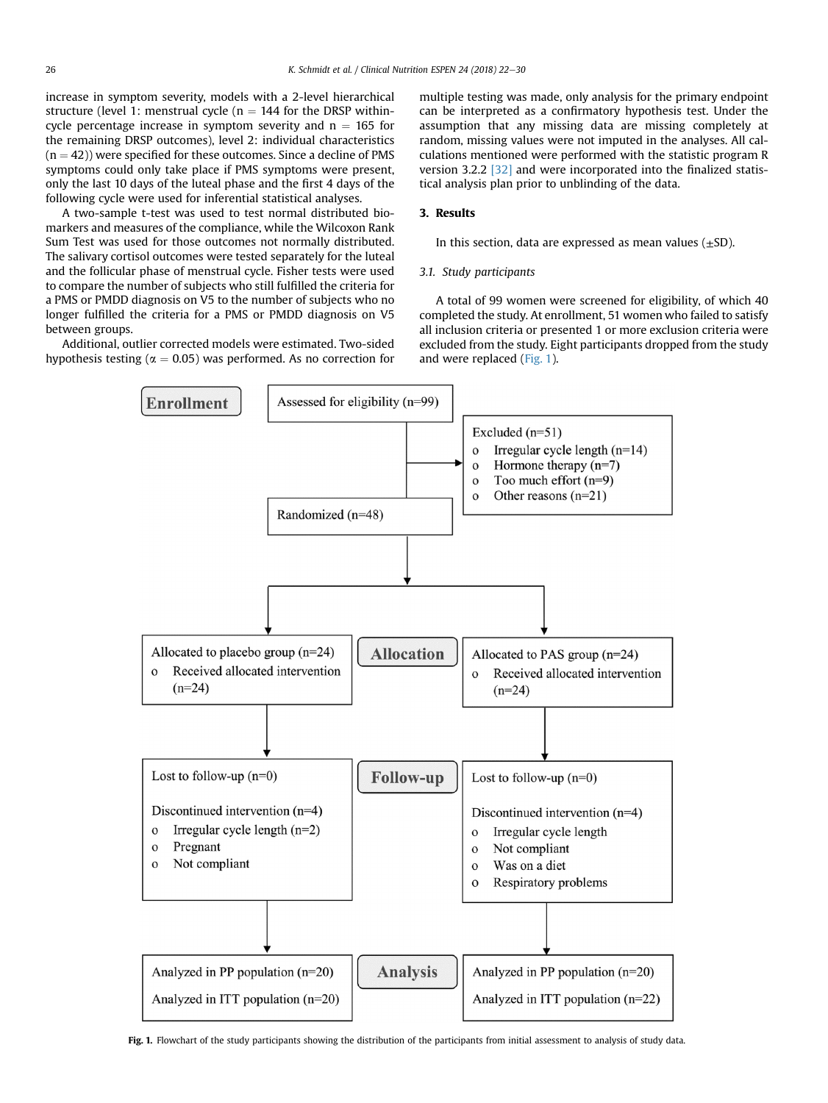increase in symptom severity, models with a 2-level hierarchical structure (level 1: menstrual cycle ( $n = 144$  for the DRSP withincycle percentage increase in symptom severity and  $n = 165$  for the remaining DRSP outcomes), level 2: individual characteristics  $(n = 42)$ ) were specified for these outcomes. Since a decline of PMS symptoms could only take place if PMS symptoms were present, only the last 10 days of the luteal phase and the first 4 days of the following cycle were used for inferential statistical analyses.

A two-sample t-test was used to test normal distributed biomarkers and measures of the compliance, while the Wilcoxon Rank Sum Test was used for those outcomes not normally distributed. The salivary cortisol outcomes were tested separately for the luteal and the follicular phase of menstrual cycle. Fisher tests were used to compare the number of subjects who still fulfilled the criteria for a PMS or PMDD diagnosis on V5 to the number of subjects who no longer fulfilled the criteria for a PMS or PMDD diagnosis on V5 between groups.

Additional, outlier corrected models were estimated. Two-sided hypothesis testing ( $\alpha = 0.05$ ) was performed. As no correction for multiple testing was made, only analysis for the primary endpoint can be interpreted as a confirmatory hypothesis test. Under the assumption that any missing data are missing completely at random, missing values were not imputed in the analyses. All calculations mentioned were performed with the statistic program R version 3.2.2 [\[32\]](#page-8-0) and were incorporated into the finalized statistical analysis plan prior to unblinding of the data.

# 3. Results

In this section, data are expressed as mean values  $(\pm SD)$ .

# 3.1. Study participants

A total of 99 women were screened for eligibility, of which 40 completed the study. At enrollment, 51 women who failed to satisfy all inclusion criteria or presented 1 or more exclusion criteria were excluded from the study. Eight participants dropped from the study and were replaced (Fig. 1).



Fig. 1. Flowchart of the study participants showing the distribution of the participants from initial assessment to analysis of study data.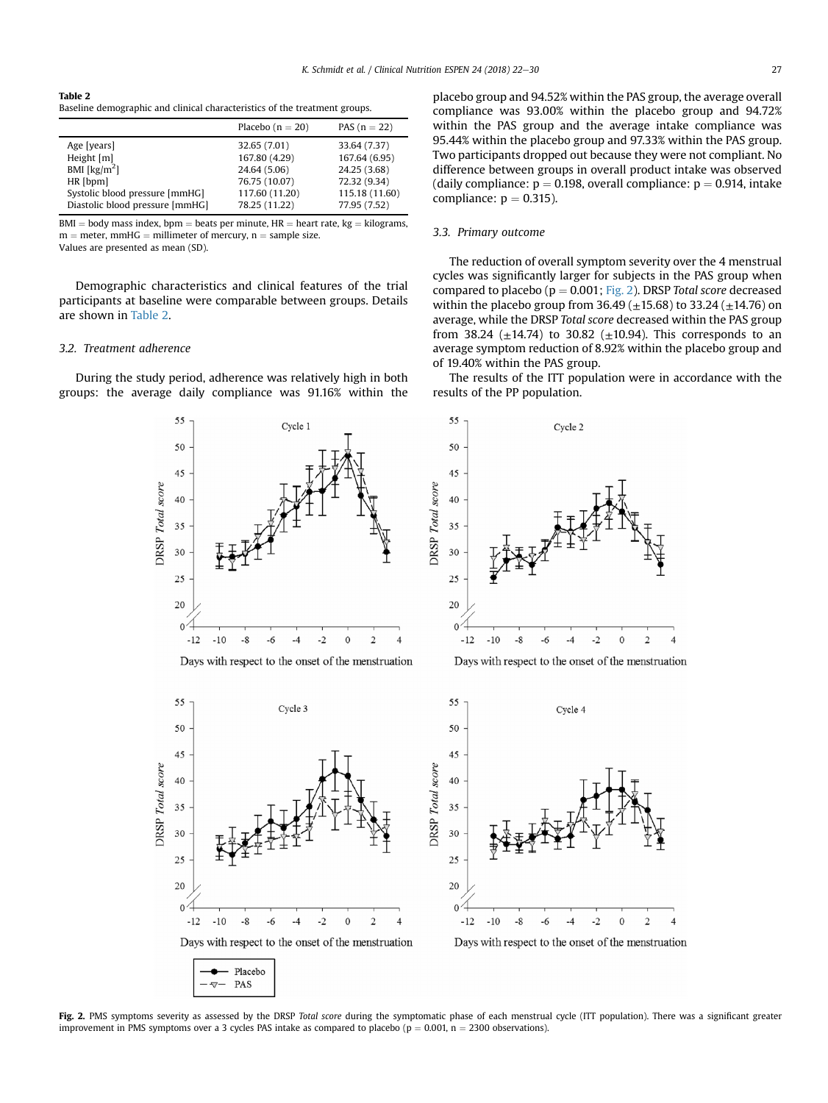## Table 2 Baseline demographic and clinical characteristics of the treatment groups.

|                                 | Placebo $(n = 20)$ | PAS $(n = 22)$ |
|---------------------------------|--------------------|----------------|
| Age [years]                     | 32.65 (7.01)       | 33.64 (7.37)   |
| Height $[m]$                    | 167.80 (4.29)      | 167.64 (6.95)  |
| BMI [ $\text{kg/m}^2$ ]         | 24.64 (5.06)       | 24.25 (3.68)   |
| HR [bpm]                        | 76.75 (10.07)      | 72.32 (9.34)   |
| Systolic blood pressure [mmHG]  | 117.60 (11.20)     | 115.18 (11.60) |
| Diastolic blood pressure [mmHG] | 78.25 (11.22)      | 77.95 (7.52)   |

 $BMI = body$  mass index, bpm = beats per minute, HR = heart rate, kg = kilograms,  $m =$  meter, mmHG  $=$  millimeter of mercury, n  $=$  sample size. Values are presented as mean (SD).

Demographic characteristics and clinical features of the trial participants at baseline were comparable between groups. Details are shown in Table 2.

## 3.2. Treatment adherence

During the study period, adherence was relatively high in both groups: the average daily compliance was 91.16% within the

> 55 55 Cycle 1 Cycle 2 50 50  $45$ 45 **ORSP** Total score **DRSP** Total score 40 40 35 35 30 30  $25$  $25$ 20 20  $\Omega$  $\Omega$  $-12$  $-10$  $-8$  $-6$  $-4$  $-2$  $\Omega$  $\overline{2}$  $-12$  $-10$  $-8$  $-6$  $-4$  $-2$ Days with respect to the onset of the menstruation Days with respect to the onset of the menstruation 55 55 Cycle 3 Cycle 4 50 50  $45$ 45 **DRSP** Total score DRSP Total score 40 40 35 35 30 30 25 25 20  $20$  $\theta$  $\theta$  $-12$  $-10$  $\mbox{-}10$  $-8$  $-6$  $-4$  $-2$  $\theta$  $\overline{2}$  $\overline{A}$  $-12$  $-8$  $-6$  $-4$  $-2$ Days with respect to the onset of the menstruation Days with respect to the onset of the menstruation Placebo  $\nabla$  PAS

placebo group and 94.52% within the PAS group, the average overall compliance was 93.00% within the placebo group and 94.72% within the PAS group and the average intake compliance was 95.44% within the placebo group and 97.33% within the PAS group. Two participants dropped out because they were not compliant. No difference between groups in overall product intake was observed (daily compliance:  $p = 0.198$ , overall compliance:  $p = 0.914$ , intake compliance:  $p = 0.315$ ).

# 3.3. Primary outcome

The reduction of overall symptom severity over the 4 menstrual cycles was significantly larger for subjects in the PAS group when compared to placebo ( $p = 0.001$ ; Fig. 2). DRSP Total score decreased within the placebo group from  $36.49 \ (\pm 15.68)$  to  $33.24 \ (\pm 14.76)$  on average, while the DRSP Total score decreased within the PAS group from 38.24 ( $\pm$ 14.74) to 30.82 ( $\pm$ 10.94). This corresponds to an average symptom reduction of 8.92% within the placebo group and of 19.40% within the PAS group.

The results of the ITT population were in accordance with the results of the PP population.

> $\theta$  $\overline{2}$

 $\theta$  $\overline{2}$  $\boldsymbol{\Delta}$ 



Fig. 2. PMS symptoms severity as assessed by the DRSP Total score during the symptomatic phase of each menstrual cycle (ITT population). There was a significant greater improvement in PMS symptoms over a 3 cycles PAS intake as compared to placebo ( $p = 0.001$ ,  $n = 2300$  observations).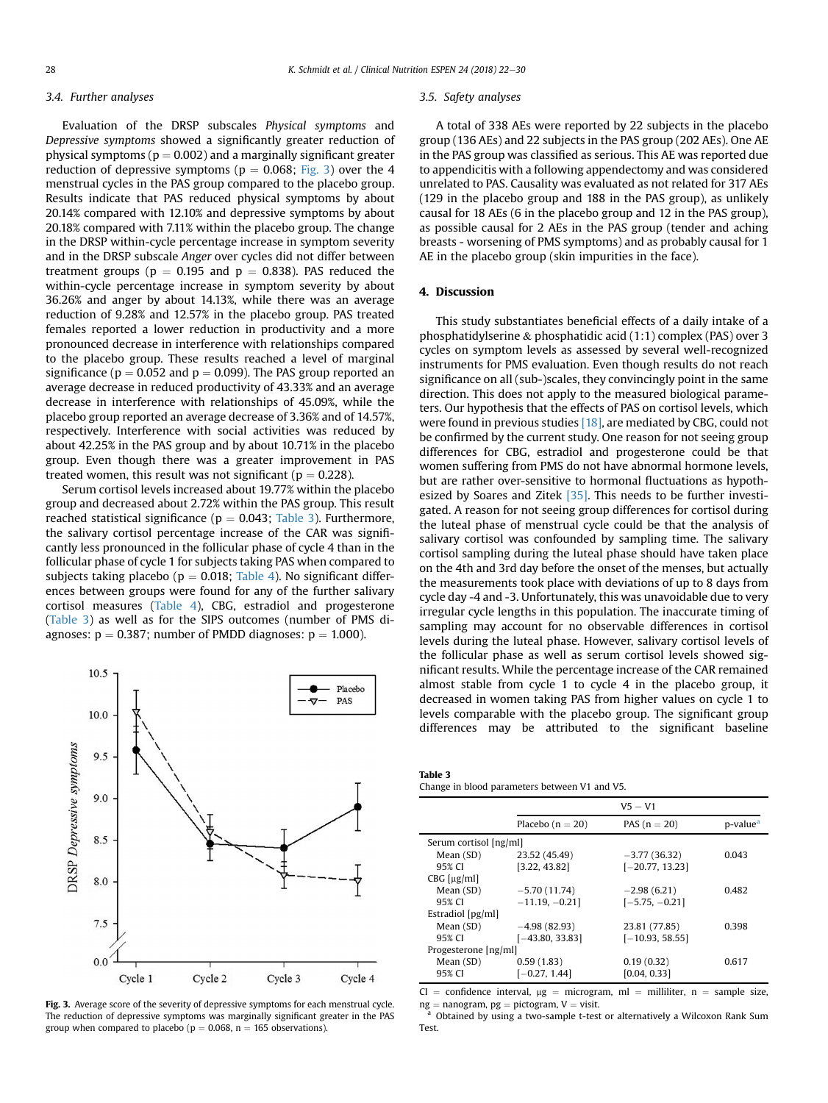## 3.4. Further analyses

Evaluation of the DRSP subscales Physical symptoms and Depressive symptoms showed a significantly greater reduction of physical symptoms ( $p = 0.002$ ) and a marginally significant greater reduction of depressive symptoms ( $p = 0.068$ ; Fig. 3) over the 4 menstrual cycles in the PAS group compared to the placebo group. Results indicate that PAS reduced physical symptoms by about 20.14% compared with 12.10% and depressive symptoms by about 20.18% compared with 7.11% within the placebo group. The change in the DRSP within-cycle percentage increase in symptom severity and in the DRSP subscale Anger over cycles did not differ between treatment groups ( $p = 0.195$  and  $p = 0.838$ ). PAS reduced the within-cycle percentage increase in symptom severity by about 36.26% and anger by about 14.13%, while there was an average reduction of 9.28% and 12.57% in the placebo group. PAS treated females reported a lower reduction in productivity and a more pronounced decrease in interference with relationships compared to the placebo group. These results reached a level of marginal significance ( $p = 0.052$  and  $p = 0.099$ ). The PAS group reported an average decrease in reduced productivity of 43.33% and an average decrease in interference with relationships of 45.09%, while the placebo group reported an average decrease of 3.36% and of 14.57%, respectively. Interference with social activities was reduced by about 42.25% in the PAS group and by about 10.71% in the placebo group. Even though there was a greater improvement in PAS treated women, this result was not significant ( $p = 0.228$ ).

Serum cortisol levels increased about 19.77% within the placebo group and decreased about 2.72% within the PAS group. This result reached statistical significance ( $p = 0.043$ ; Table 3). Furthermore, the salivary cortisol percentage increase of the CAR was significantly less pronounced in the follicular phase of cycle 4 than in the follicular phase of cycle 1 for subjects taking PAS when compared to subjects taking placebo ( $p = 0.018$ ; [Table 4\)](#page-7-0). No significant differences between groups were found for any of the further salivary cortisol measures [\(Table 4\)](#page-7-0), CBG, estradiol and progesterone (Table 3) as well as for the SIPS outcomes (number of PMS diagnoses:  $p = 0.387$ ; number of PMDD diagnoses:  $p = 1.000$ ).



Fig. 3. Average score of the severity of depressive symptoms for each menstrual cycle. The reduction of depressive symptoms was marginally significant greater in the PAS group when compared to placebo ( $p = 0.068$ ,  $n = 165$  observations).

#### 3.5. Safety analyses

A total of 338 AEs were reported by 22 subjects in the placebo group (136 AEs) and 22 subjects in the PAS group (202 AEs). One AE in the PAS group was classified as serious. This AE was reported due to appendicitis with a following appendectomy and was considered unrelated to PAS. Causality was evaluated as not related for 317 AEs (129 in the placebo group and 188 in the PAS group), as unlikely causal for 18 AEs (6 in the placebo group and 12 in the PAS group), as possible causal for 2 AEs in the PAS group (tender and aching breasts - worsening of PMS symptoms) and as probably causal for 1 AE in the placebo group (skin impurities in the face).

## 4. Discussion

This study substantiates beneficial effects of a daily intake of a phosphatidylserine & phosphatidic acid (1:1) complex (PAS) over 3 cycles on symptom levels as assessed by several well-recognized instruments for PMS evaluation. Even though results do not reach significance on all (sub-)scales, they convincingly point in the same direction. This does not apply to the measured biological parameters. Our hypothesis that the effects of PAS on cortisol levels, which were found in previous studies [\[18\]](#page-8-0), are mediated by CBG, could not be confirmed by the current study. One reason for not seeing group differences for CBG, estradiol and progesterone could be that women suffering from PMS do not have abnormal hormone levels, but are rather over-sensitive to hormonal fluctuations as hypoth-esized by Soares and Zitek [\[35\].](#page-8-0) This needs to be further investigated. A reason for not seeing group differences for cortisol during the luteal phase of menstrual cycle could be that the analysis of salivary cortisol was confounded by sampling time. The salivary cortisol sampling during the luteal phase should have taken place on the 4th and 3rd day before the onset of the menses, but actually the measurements took place with deviations of up to 8 days from cycle day -4 and -3. Unfortunately, this was unavoidable due to very irregular cycle lengths in this population. The inaccurate timing of sampling may account for no observable differences in cortisol levels during the luteal phase. However, salivary cortisol levels of the follicular phase as well as serum cortisol levels showed significant results. While the percentage increase of the CAR remained almost stable from cycle 1 to cycle 4 in the placebo group, it decreased in women taking PAS from higher values on cycle 1 to levels comparable with the placebo group. The significant group differences may be attributed to the significant baseline

Table 3 Change in blood parameters between V1 and V5.

|                        | $V_5 - V_1$        |                   |                      |
|------------------------|--------------------|-------------------|----------------------|
|                        | Placebo $(n = 20)$ | PAS $(n = 20)$    | p-value <sup>a</sup> |
| Serum cortisol [ng/ml] |                    |                   |                      |
| Mean (SD)              | 23.52 (45.49)      | $-3.77(36.32)$    | 0.043                |
| 95% CI                 | [3.22, 43.82]      | $[-20.77, 13.23]$ |                      |
| $CBG$ [ $\mu$ g/ml]    |                    |                   |                      |
| Mean (SD)              | $-5.70(11.74)$     | $-2.98(6.21)$     | 0.482                |
| 95% CI                 | $-11.19, -0.21$    | $[-5.75, -0.21]$  |                      |
| Estradiol [pg/ml]      |                    |                   |                      |
| Mean (SD)              | $-4.98(82.93)$     | 23.81 (77.85)     | 0.398                |
| 95% CI                 | $[-43.80, 33.83]$  | $[-10.93, 58.55]$ |                      |
| Progesterone [ng/ml]   |                    |                   |                      |
| Mean (SD)              | 0.59(1.83)         | 0.19(0.32)        | 0.617                |
| 95% CI                 | $[-0.27, 1.44]$    | [0.04, 0.33]      |                      |

CI = confidence interval,  $\mu$ g = microgram, ml = milliliter, n = sample size, ng = nanogram, pg = pictogram, V = visit.

 $\alpha$  Obtained by using a two-sample t-test or alternatively a Wilcoxon Rank Sum Test.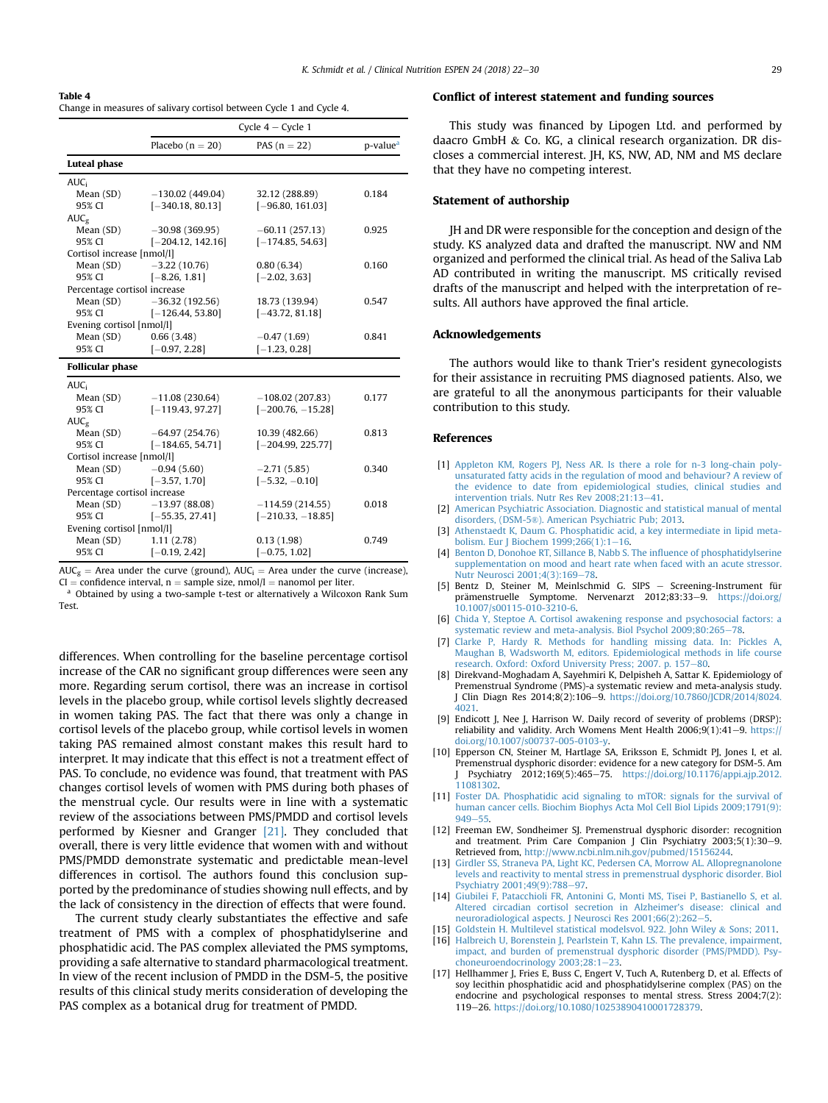## <span id="page-7-0"></span>Table 4

Change in measures of salivary cortisol between Cycle 1 and Cycle 4.

|                              | Cycle $4 -$ Cycle 1             |                     |                      |
|------------------------------|---------------------------------|---------------------|----------------------|
|                              | Placebo $(n = 20)$              | PAS $(n = 22)$      | p-value <sup>a</sup> |
| <b>Luteal phase</b>          |                                 |                     |                      |
| <b>AUC</b> <sub>i</sub>      |                                 |                     |                      |
| Mean (SD)                    | $-130.02(449.04)$               | 32.12 (288.89)      | 0.184                |
| 95% CI                       | $[-340.18, 80.13]$              | $[-96.80, 161.03]$  |                      |
| $AUC_{\sigma}$               |                                 |                     |                      |
| Mean (SD)                    | $-30.98(369.95)$                | $-60.11(257.13)$    | 0.925                |
| 95% CI                       | $[-204.12, 142.16]$             | $[-174.85, 54.63]$  |                      |
| Cortisol increase [nmol/l]   |                                 |                     |                      |
|                              | Mean $(SD)$ $-3.22$ $(10.76)$   | 0.80(6.34)          | 0.160                |
| 95% CI                       | $[-8.26, 1.81]$                 | $[-2.02, 3.63]$     |                      |
| Percentage cortisol increase |                                 |                     |                      |
|                              | Mean $(SD)$ $-36.32$ $(192.56)$ | 18.73 (139.94)      | 0.547                |
| 95% CI                       | $[-126.44, 53.80]$              | $[-43.72, 81.18]$   |                      |
| Evening cortisol [nmol/l]    |                                 |                     |                      |
| Mean (SD) 0.66 (3.48)        |                                 | $-0.47(1.69)$       | 0.841                |
| 95% CI                       | $[-0.97, 2.28]$                 | $[-1.23, 0.28]$     |                      |
| <b>Follicular phase</b>      |                                 |                     |                      |
| <b>AUC</b>                   |                                 |                     |                      |
| Mean (SD)                    | $-11.08(230.64)$                | $-108.02(207.83)$   | 0.177                |
| 95% CI                       | $[-119.43, 97.27]$              | $[-200.76, -15.28]$ |                      |
| $AUC_{\sigma}$               |                                 |                     |                      |
| Mean (SD)                    | $-64.97(254.76)$                | 10.39 (482.66)      | 0.813                |
| 95% CI                       | $[-184.65, 54.71]$              | $[-204.99, 225.77]$ |                      |
| Cortisol increase [nmol/l]   |                                 |                     |                      |
| Mean $(SD)$ $-0.94(5.60)$    |                                 | $-2.71(5.85)$       | 0.340                |
| 95% CI                       | $[-3.57, 1.70]$                 | $[-5.32, -0.10]$    |                      |
| Percentage cortisol increase |                                 |                     |                      |
|                              | Mean $(SD)$ $-13.97(88.08)$     | $-114.59(214.55)$   | 0.018                |
| 95% CI                       | $[-55.35, 27.41]$               | $[-210.33, -18.85]$ |                      |
| Evening cortisol [nmol/l]    |                                 |                     |                      |
| Mean (SD)                    | 1.11(2.78)                      | 0.13(1.98)          | 0.749                |
| 95% CI                       | $[-0.19, 2.42]$                 | $[-0.75, 1.02]$     |                      |

 $AUC_g$  = Area under the curve (ground),  $AUC_i$  = Area under the curve (increase), CI = confidence interval, n = sample size, nmol/l = nanomol per liter.

<sup>a</sup> Obtained by using a two-sample t-test or alternatively a Wilcoxon Rank Sum Test.

differences. When controlling for the baseline percentage cortisol increase of the CAR no significant group differences were seen any more. Regarding serum cortisol, there was an increase in cortisol levels in the placebo group, while cortisol levels slightly decreased in women taking PAS. The fact that there was only a change in cortisol levels of the placebo group, while cortisol levels in women taking PAS remained almost constant makes this result hard to interpret. It may indicate that this effect is not a treatment effect of PAS. To conclude, no evidence was found, that treatment with PAS changes cortisol levels of women with PMS during both phases of the menstrual cycle. Our results were in line with a systematic review of the associations between PMS/PMDD and cortisol levels performed by Kiesner and Granger [\[21\]](#page-8-0). They concluded that overall, there is very little evidence that women with and without PMS/PMDD demonstrate systematic and predictable mean-level differences in cortisol. The authors found this conclusion supported by the predominance of studies showing null effects, and by the lack of consistency in the direction of effects that were found.

The current study clearly substantiates the effective and safe treatment of PMS with a complex of phosphatidylserine and phosphatidic acid. The PAS complex alleviated the PMS symptoms, providing a safe alternative to standard pharmacological treatment. In view of the recent inclusion of PMDD in the DSM-5, the positive results of this clinical study merits consideration of developing the PAS complex as a botanical drug for treatment of PMDD.

## Conflict of interest statement and funding sources

This study was financed by Lipogen Ltd. and performed by daacro GmbH & Co. KG, a clinical research organization. DR discloses a commercial interest. JH, KS, NW, AD, NM and MS declare that they have no competing interest.

## Statement of authorship

JH and DR were responsible for the conception and design of the study. KS analyzed data and drafted the manuscript. NW and NM organized and performed the clinical trial. As head of the Saliva Lab AD contributed in writing the manuscript. MS critically revised drafts of the manuscript and helped with the interpretation of results. All authors have approved the final article.

# Acknowledgements

The authors would like to thank Trier's resident gynecologists for their assistance in recruiting PMS diagnosed patients. Also, we are grateful to all the anonymous participants for their valuable contribution to this study.

## References

- [1] [Appleton KM, Rogers PJ, Ness AR. Is there a role for n-3 long-chain poly](http://refhub.elsevier.com/S2405-4577(17)30275-9/sref1)[unsaturated fatty acids in the regulation of mood and behaviour? A review of](http://refhub.elsevier.com/S2405-4577(17)30275-9/sref1) [the evidence to date from epidemiological studies, clinical studies and](http://refhub.elsevier.com/S2405-4577(17)30275-9/sref1) intervention trials. Nutr Res Rev  $2008:21:13-41$ .
- [2] [American Psychiatric Association. Diagnostic and statistical manual of mental](http://refhub.elsevier.com/S2405-4577(17)30275-9/sref2) disorders, (DSM-5®[\). American Psychiatric Pub; 2013.](http://refhub.elsevier.com/S2405-4577(17)30275-9/sref2)
- [3] [Athenstaedt K, Daum G. Phosphatidic acid, a key intermediate in lipid meta-](http://refhub.elsevier.com/S2405-4577(17)30275-9/sref3)bolism. Eur J Biochem 1999:266(1):1-[16.](http://refhub.elsevier.com/S2405-4577(17)30275-9/sref3)
- [4] [Benton D, Donohoe RT, Sillance B, Nabb S. The in](http://refhub.elsevier.com/S2405-4577(17)30275-9/sref4)fluence of phosphatidylserine [supplementation on mood and heart rate when faced with an acute stressor.](http://refhub.elsevier.com/S2405-4577(17)30275-9/sref4) Nutr Neurosci 2001:4(3):169-[78](http://refhub.elsevier.com/S2405-4577(17)30275-9/sref4).
- [5] Bentz D, Steiner M, Meinlschmid G. SIPS Screening-Instrument für prämenstruelle Symptome. Nervenarzt 2012;83:33-9. [https://doi.org/](https://doi.org/10.1007/s00115-010-3210-6) [10.1007/s00115-010-3210-6](https://doi.org/10.1007/s00115-010-3210-6).
- [6] [Chida Y, Steptoe A. Cortisol awakening response and psychosocial factors: a](http://refhub.elsevier.com/S2405-4577(17)30275-9/sref6) [systematic review and meta-analysis. Biol Psychol 2009;80:265](http://refhub.elsevier.com/S2405-4577(17)30275-9/sref6)-[78](http://refhub.elsevier.com/S2405-4577(17)30275-9/sref6).
- [7] [Clarke P, Hardy R. Methods for handling missing data. In: Pickles A,](http://refhub.elsevier.com/S2405-4577(17)30275-9/sref7) [Maughan B, Wadsworth M, editors. Epidemiological methods in life course](http://refhub.elsevier.com/S2405-4577(17)30275-9/sref7) [research. Oxford: Oxford University Press; 2007. p. 157](http://refhub.elsevier.com/S2405-4577(17)30275-9/sref7)-[80](http://refhub.elsevier.com/S2405-4577(17)30275-9/sref7).
- [8] Direkvand-Moghadam A, Sayehmiri K, Delpisheh A, Sattar K. Epidemiology of Premenstrual Syndrome (PMS)-a systematic review and meta-analysis study. J Clin Diagn Res 2014;8(2):106-9. https://doi.org/10.7860/JCDR/2014/8024 [4021.](https://doi.org/10.7860/JCDR/2014/8024.4021)
- [9] Endicott J, Nee J, Harrison W. Daily record of severity of problems (DRSP): reliability and validity. Arch Womens Ment Health  $2006;9(1):41-9.$  [https://](https://doi.org/10.1007/s00737-005-0103-y) [doi.org/10.1007/s00737-005-0103-y](https://doi.org/10.1007/s00737-005-0103-y).
- [10] Epperson CN, Steiner M, Hartlage SA, Eriksson E, Schmidt PJ, Jones I, et al. Premenstrual dysphoric disorder: evidence for a new category for DSM-5. Am J Psychiatry 2012;169(5):465-75. [https://doi.org/10.1176/appi.ajp.2012.](https://doi.org/10.1176/appi.ajp.2012.11081302) [11081302](https://doi.org/10.1176/appi.ajp.2012.11081302).
- [11] [Foster DA. Phosphatidic acid signaling to mTOR: signals for the survival of](http://refhub.elsevier.com/S2405-4577(17)30275-9/sref11) [human cancer cells. Biochim Biophys Acta Mol Cell Biol Lipids 2009;1791\(9\):](http://refhub.elsevier.com/S2405-4577(17)30275-9/sref11)  $949 - 55$  $949 - 55$
- [12] Freeman EW, Sondheimer SJ. Premenstrual dysphoric disorder: recognition and treatment. Prim Care Companion J Clin Psychiatry 2003;5(1):30-9. Retrieved from, [http://www.ncbi.nlm.nih.gov/pubmed/15156244.](http://www.ncbi.nlm.nih.gov/pubmed/15156244)
- [13] [Girdler SS, Straneva PA, Light KC, Pedersen CA, Morrow AL. Allopregnanolone](http://refhub.elsevier.com/S2405-4577(17)30275-9/sref13) [levels and reactivity to mental stress in premenstrual dysphoric disorder. Biol](http://refhub.elsevier.com/S2405-4577(17)30275-9/sref13) [Psychiatry 2001;49\(9\):788](http://refhub.elsevier.com/S2405-4577(17)30275-9/sref13)-[97](http://refhub.elsevier.com/S2405-4577(17)30275-9/sref13).
- [14] [Giubilei F, Patacchioli FR, Antonini G, Monti MS, Tisei P, Bastianello S, et al.](http://refhub.elsevier.com/S2405-4577(17)30275-9/sref14) [Altered circadian cortisol secretion in Alzheimer's disease: clinical and](http://refhub.elsevier.com/S2405-4577(17)30275-9/sref14) [neuroradiological aspects. J Neurosci Res 2001;66\(2\):262](http://refhub.elsevier.com/S2405-4577(17)30275-9/sref14)-[5.](http://refhub.elsevier.com/S2405-4577(17)30275-9/sref14)
- [15] [Goldstein H. Multilevel statistical modelsvol. 922. John Wiley](http://refhub.elsevier.com/S2405-4577(17)30275-9/sref15) & [Sons; 2011.](http://refhub.elsevier.com/S2405-4577(17)30275-9/sref15) [16] [Halbreich U, Borenstein J, Pearlstein T, Kahn LS. The prevalence, impairment,](http://refhub.elsevier.com/S2405-4577(17)30275-9/sref16) [impact, and burden of premenstrual dysphoric disorder \(PMS/PMDD\). Psy](http://refhub.elsevier.com/S2405-4577(17)30275-9/sref16)[choneuroendocrinology 2003;28:1](http://refhub.elsevier.com/S2405-4577(17)30275-9/sref16)-23
- [17] Hellhammer J, Fries E, Buss C, Engert V, Tuch A, Rutenberg D, et al. Effects of soy lecithin phosphatidic acid and phosphatidylserine complex (PAS) on the endocrine and psychological responses to mental stress. Stress 2004;7(2): 119-26. [https://doi.org/10.1080/10253890410001728379.](https://doi.org/10.1080/10253890410001728379)